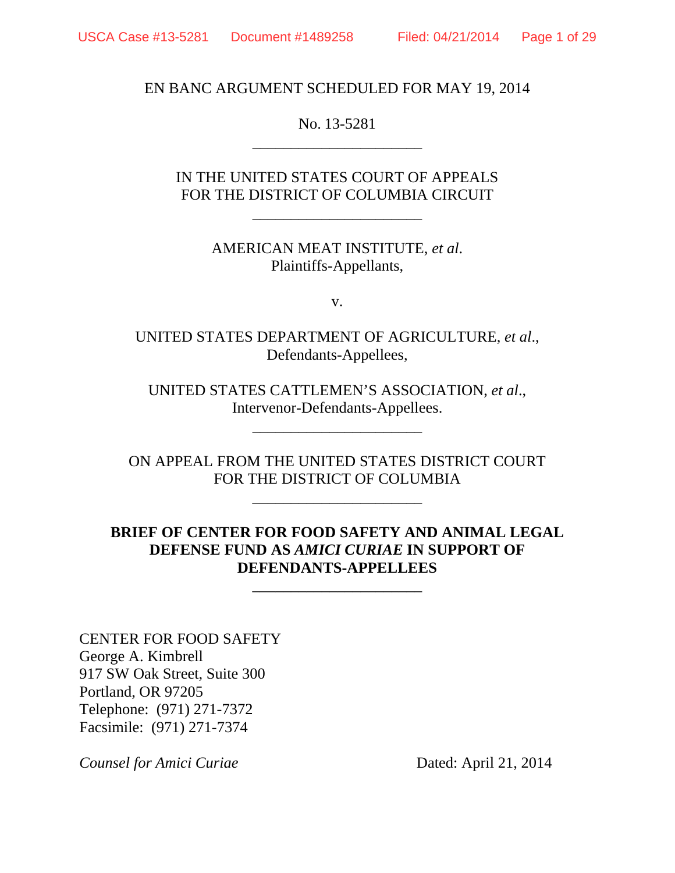EN BANC ARGUMENT SCHEDULED FOR MAY 19, 2014

No. 13-5281 \_\_\_\_\_\_\_\_\_\_\_\_\_\_\_\_\_\_\_\_\_\_

IN THE UNITED STATES COURT OF APPEALS FOR THE DISTRICT OF COLUMBIA CIRCUIT

\_\_\_\_\_\_\_\_\_\_\_\_\_\_\_\_\_\_\_\_\_\_

AMERICAN MEAT INSTITUTE, *et al*. Plaintiffs-Appellants,

v.

UNITED STATES DEPARTMENT OF AGRICULTURE, *et al*., Defendants-Appellees,

UNITED STATES CATTLEMEN'S ASSOCIATION, *et al*., Intervenor-Defendants-Appellees.

\_\_\_\_\_\_\_\_\_\_\_\_\_\_\_\_\_\_\_\_\_\_

ON APPEAL FROM THE UNITED STATES DISTRICT COURT FOR THE DISTRICT OF COLUMBIA

\_\_\_\_\_\_\_\_\_\_\_\_\_\_\_\_\_\_\_\_\_\_

### **BRIEF OF CENTER FOR FOOD SAFETY AND ANIMAL LEGAL DEFENSE FUND AS** *AMICI CURIAE* **IN SUPPORT OF DEFENDANTS-APPELLEES**

\_\_\_\_\_\_\_\_\_\_\_\_\_\_\_\_\_\_\_\_\_\_

CENTER FOR FOOD SAFETY George A. Kimbrell 917 SW Oak Street, Suite 300 Portland, OR 97205 Telephone: (971) 271-7372 Facsimile: (971) 271-7374

*Counsel for Amici Curiae* Dated: April 21, 2014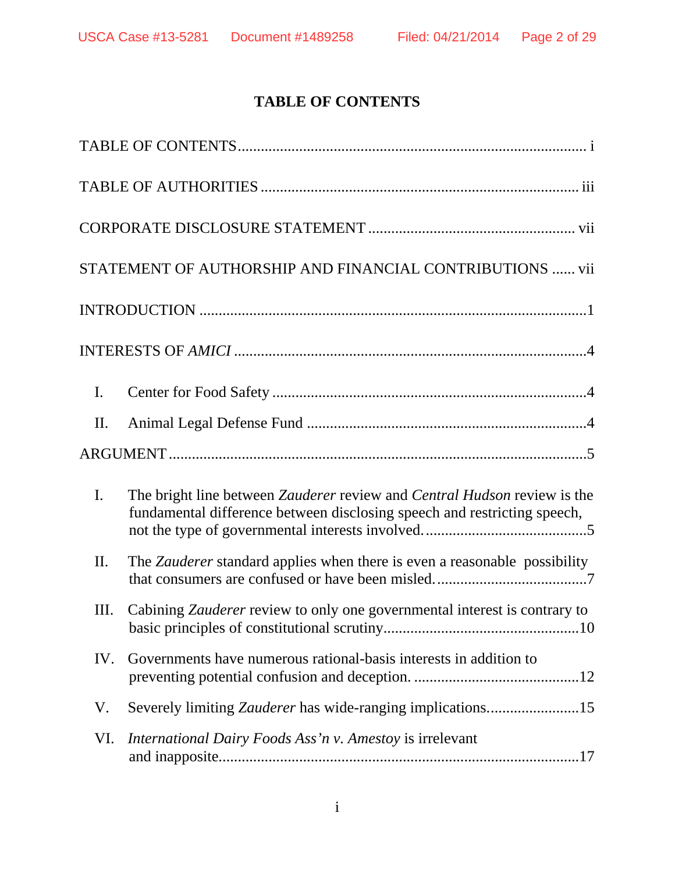# **TABLE OF CONTENTS**

|                | STATEMENT OF AUTHORSHIP AND FINANCIAL CONTRIBUTIONS  vii                                                                                             |
|----------------|------------------------------------------------------------------------------------------------------------------------------------------------------|
|                |                                                                                                                                                      |
|                |                                                                                                                                                      |
| $\mathbf{I}$ . |                                                                                                                                                      |
| II.            |                                                                                                                                                      |
|                |                                                                                                                                                      |
| $\mathbf{I}$ . | The bright line between Zauderer review and Central Hudson review is the<br>fundamental difference between disclosing speech and restricting speech, |
| II.            | The Zauderer standard applies when there is even a reasonable possibility                                                                            |
| Ш.             | Cabining <i>Zauderer</i> review to only one governmental interest is contrary to                                                                     |
| IV.            | Governments have numerous rational-basis interests in addition to                                                                                    |
| V.             |                                                                                                                                                      |
| VI.            | International Dairy Foods Ass'n v. Amestoy is irrelevant                                                                                             |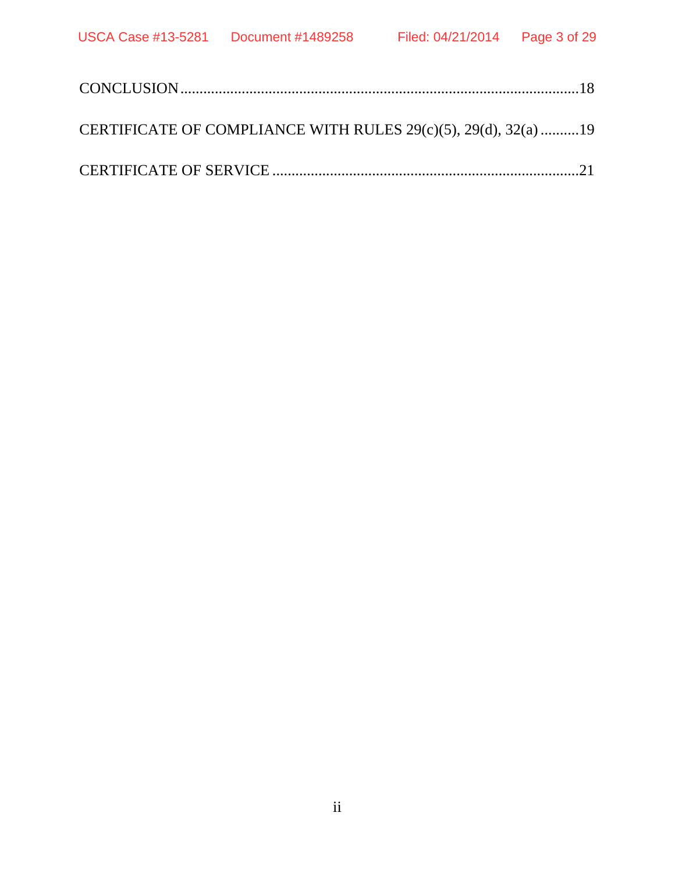| CERTIFICATE OF COMPLIANCE WITH RULES 29(c)(5), 29(d), 32(a) 19 |  |
|----------------------------------------------------------------|--|
|                                                                |  |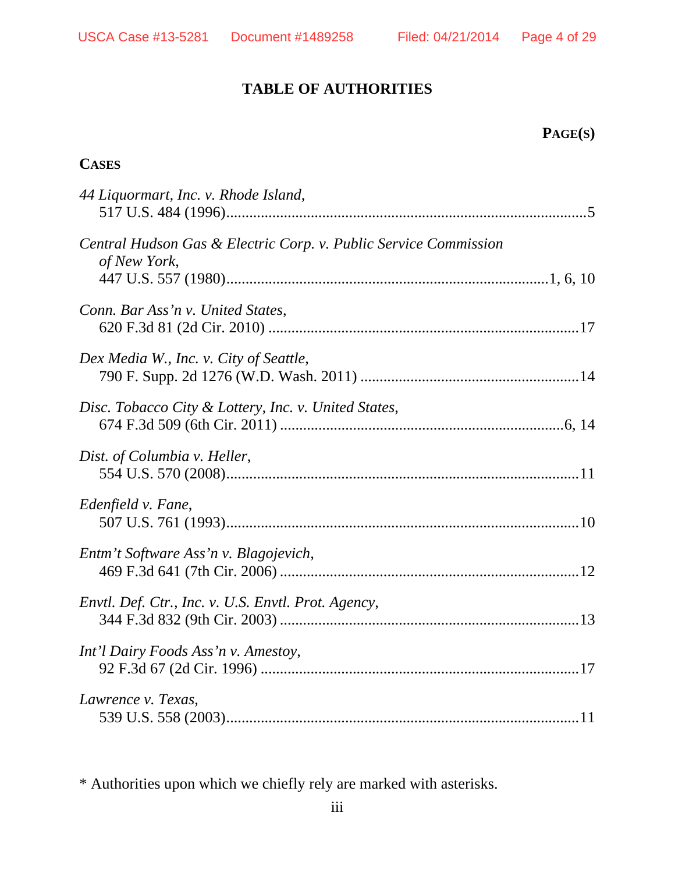### **TABLE OF AUTHORITIES**

### **PAGE(S)**

### **CASES**

| 44 Liquormart, Inc. v. Rhode Island,                                             |
|----------------------------------------------------------------------------------|
| Central Hudson Gas & Electric Corp. v. Public Service Commission<br>of New York, |
| Conn. Bar Ass'n v. United States,                                                |
| Dex Media W., Inc. v. City of Seattle,                                           |
| Disc. Tobacco City & Lottery, Inc. v. United States,                             |
| Dist. of Columbia v. Heller,                                                     |
| Edenfield v. Fane,                                                               |
| Entm't Software Ass'n v. Blagojevich,                                            |
| Envtl. Def. Ctr., Inc. v. U.S. Envtl. Prot. Agency,                              |
| Int'l Dairy Foods Ass'n v. Amestoy,                                              |
| Lawrence v. Texas,                                                               |

\* Authorities upon which we chiefly rely are marked with asterisks.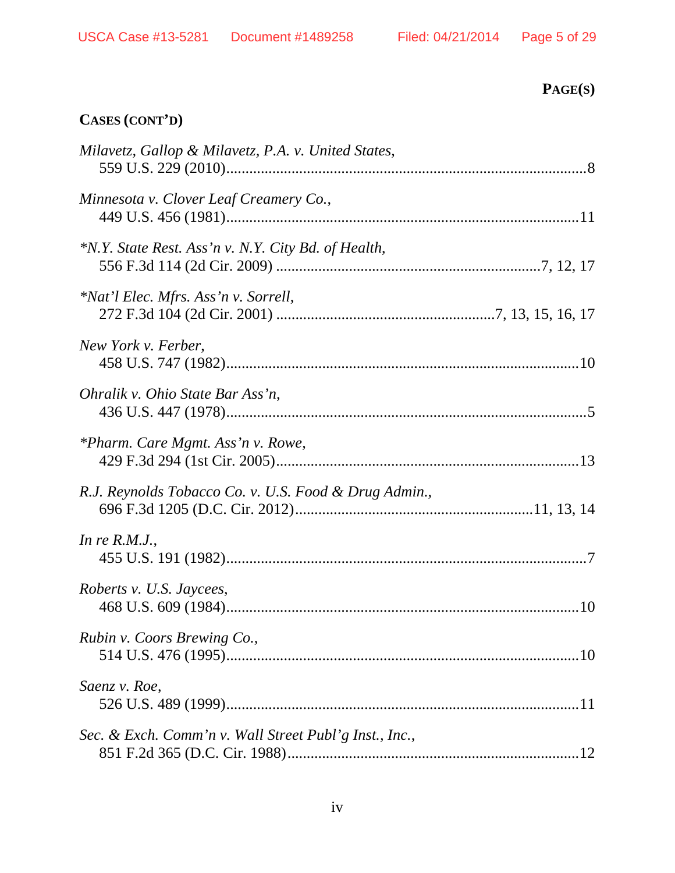# **CASES (CONT'D)**

| Milavetz, Gallop & Milavetz, P.A. v. United States,    |
|--------------------------------------------------------|
| Minnesota v. Clover Leaf Creamery Co.,                 |
| *N.Y. State Rest. Ass'n v. N.Y. City Bd. of Health,    |
| *Nat'l Elec. Mfrs. Ass'n v. Sorrell,                   |
| New York v. Ferber,                                    |
| Ohralik v. Ohio State Bar Ass'n,                       |
| *Pharm. Care Mgmt. Ass'n v. Rowe,                      |
| R.J. Reynolds Tobacco Co. v. U.S. Food & Drug Admin.,  |
| In re $R.M.J.,$                                        |
| Roberts v. U.S. Jaycees,                               |
| Rubin v. Coors Brewing Co.,                            |
| Saenz v. Roe,                                          |
| Sec. & Exch. Comm'n v. Wall Street Publ'g Inst., Inc., |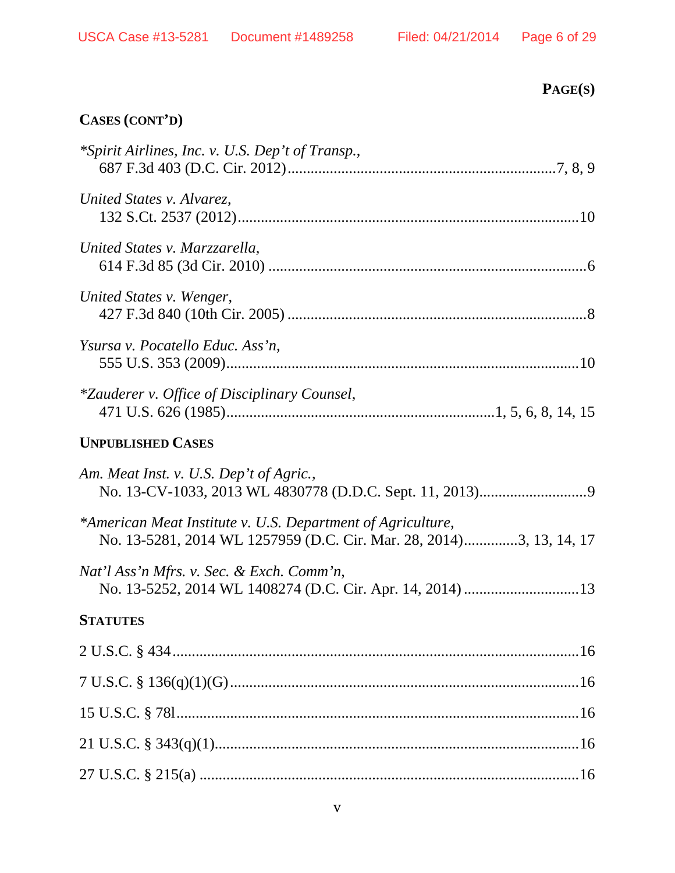# **CASES (CONT'D)**

| *Spirit Airlines, Inc. v. U.S. Dep't of Transp.,                                                                                   |
|------------------------------------------------------------------------------------------------------------------------------------|
| United States v. Alvarez,                                                                                                          |
| United States v. Marzzarella,                                                                                                      |
| United States v. Wenger,                                                                                                           |
| Ysursa v. Pocatello Educ. Ass'n,                                                                                                   |
| <i>*Zauderer v. Office of Disciplinary Counsel,</i>                                                                                |
| <b>UNPUBLISHED CASES</b>                                                                                                           |
| Am. Meat Inst. v. U.S. Dep't of Agric.,                                                                                            |
| *American Meat Institute v. U.S. Department of Agriculture,<br>No. 13-5281, 2014 WL 1257959 (D.C. Cir. Mar. 28, 2014)3, 13, 14, 17 |
| Nat'l Ass'n Mfrs. v. Sec. & Exch. Comm'n,                                                                                          |
| <b>STATUTES</b>                                                                                                                    |
|                                                                                                                                    |
|                                                                                                                                    |
|                                                                                                                                    |
|                                                                                                                                    |
|                                                                                                                                    |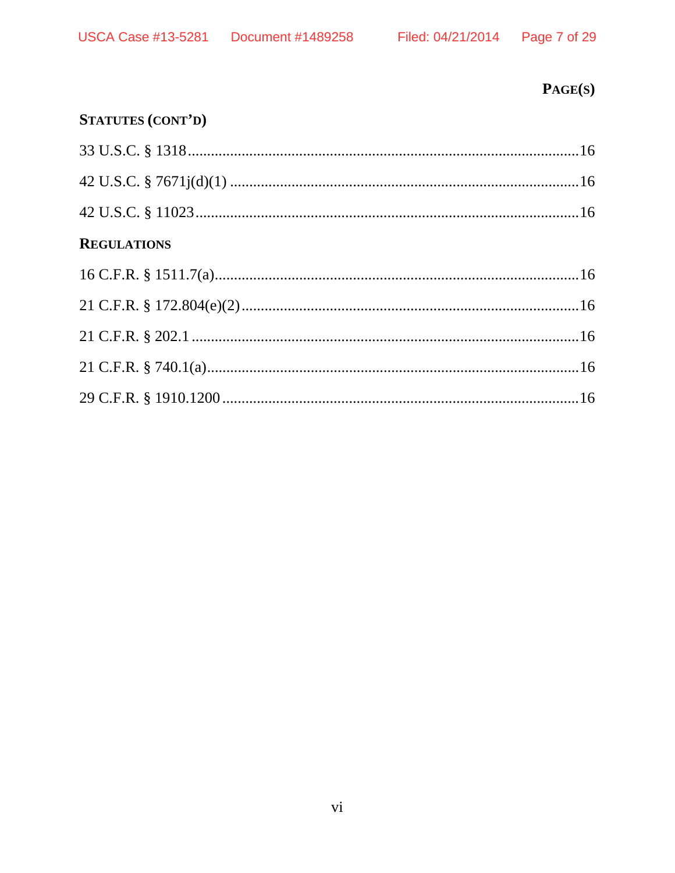# $PAGE(S)$

# STATUTES (CONT'D)

| <b>REGULATIONS</b> |  |
|--------------------|--|
|                    |  |
|                    |  |
|                    |  |
|                    |  |
|                    |  |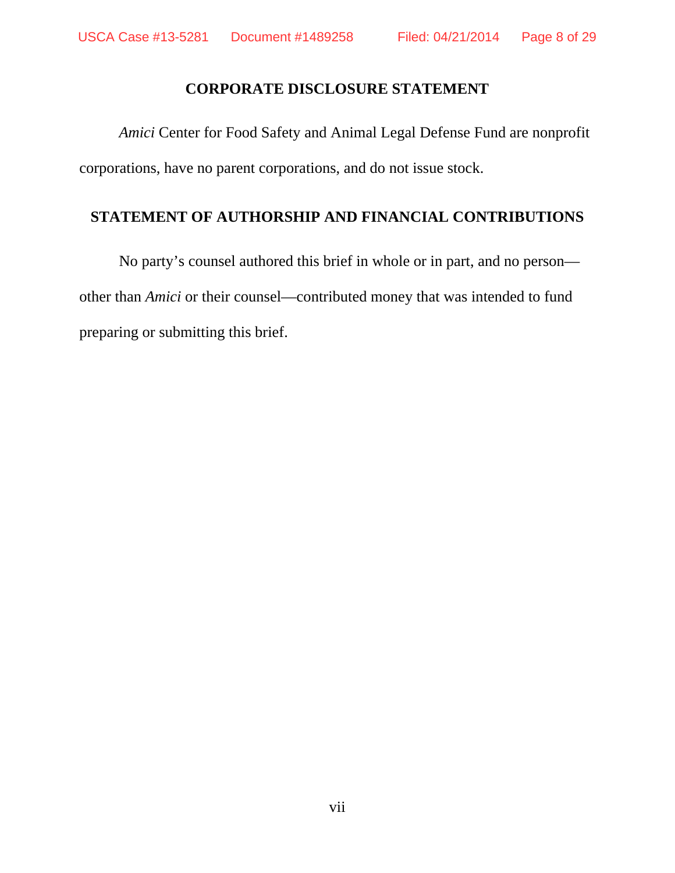### **CORPORATE DISCLOSURE STATEMENT**

*Amici* Center for Food Safety and Animal Legal Defense Fund are nonprofit corporations, have no parent corporations, and do not issue stock.

### **STATEMENT OF AUTHORSHIP AND FINANCIAL CONTRIBUTIONS**

No party's counsel authored this brief in whole or in part, and no person other than *Amici* or their counsel—contributed money that was intended to fund preparing or submitting this brief.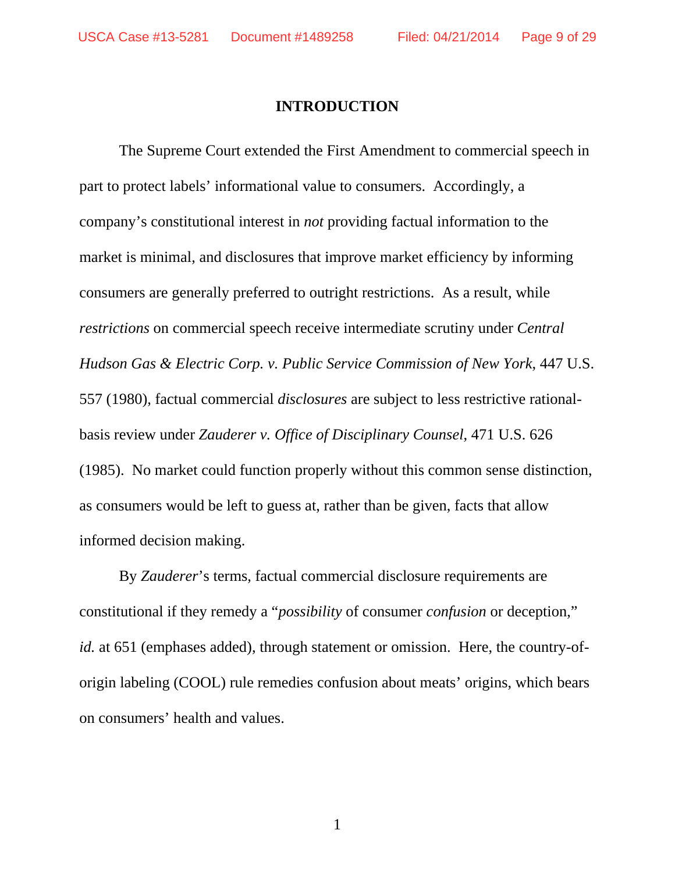### **INTRODUCTION**

The Supreme Court extended the First Amendment to commercial speech in part to protect labels' informational value to consumers. Accordingly, a company's constitutional interest in *not* providing factual information to the market is minimal, and disclosures that improve market efficiency by informing consumers are generally preferred to outright restrictions. As a result, while *restrictions* on commercial speech receive intermediate scrutiny under *Central Hudson Gas & Electric Corp. v. Public Service Commission of New York*, 447 U.S. 557 (1980), factual commercial *disclosures* are subject to less restrictive rationalbasis review under *Zauderer v. Office of Disciplinary Counsel*, 471 U.S. 626 (1985). No market could function properly without this common sense distinction, as consumers would be left to guess at, rather than be given, facts that allow informed decision making.

By *Zauderer*'s terms, factual commercial disclosure requirements are constitutional if they remedy a "*possibility* of consumer *confusion* or deception," *id.* at 651 (emphases added), through statement or omission. Here, the country-oforigin labeling (COOL) rule remedies confusion about meats' origins, which bears on consumers' health and values.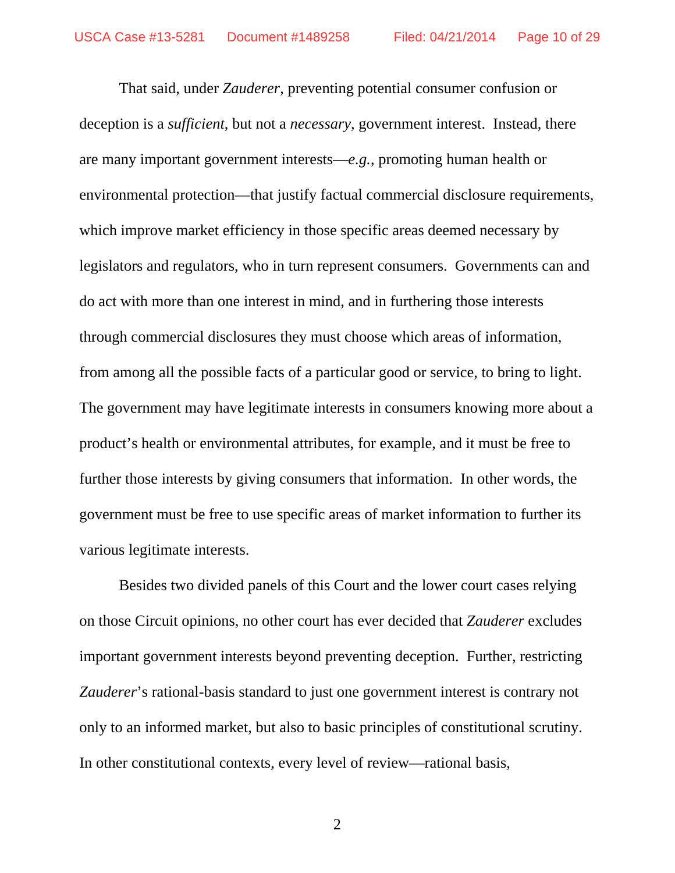That said, under *Zauderer*, preventing potential consumer confusion or deception is a *sufficient*, but not a *necessary*, government interest. Instead, there are many important government interests—*e.g.*, promoting human health or environmental protection—that justify factual commercial disclosure requirements, which improve market efficiency in those specific areas deemed necessary by legislators and regulators, who in turn represent consumers. Governments can and do act with more than one interest in mind, and in furthering those interests through commercial disclosures they must choose which areas of information, from among all the possible facts of a particular good or service, to bring to light. The government may have legitimate interests in consumers knowing more about a product's health or environmental attributes, for example, and it must be free to further those interests by giving consumers that information. In other words, the government must be free to use specific areas of market information to further its various legitimate interests.

Besides two divided panels of this Court and the lower court cases relying on those Circuit opinions, no other court has ever decided that *Zauderer* excludes important government interests beyond preventing deception. Further, restricting *Zauderer*'s rational-basis standard to just one government interest is contrary not only to an informed market, but also to basic principles of constitutional scrutiny. In other constitutional contexts, every level of review—rational basis,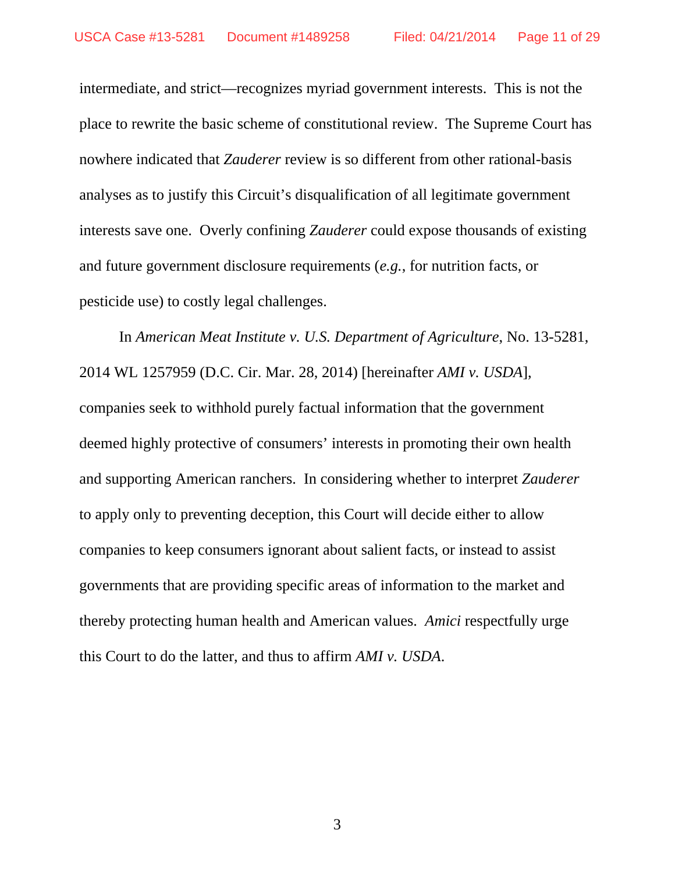intermediate, and strict—recognizes myriad government interests. This is not the place to rewrite the basic scheme of constitutional review. The Supreme Court has nowhere indicated that *Zauderer* review is so different from other rational-basis analyses as to justify this Circuit's disqualification of all legitimate government interests save one. Overly confining *Zauderer* could expose thousands of existing and future government disclosure requirements (*e.g.*, for nutrition facts, or pesticide use) to costly legal challenges.

 In *American Meat Institute v. U.S. Department of Agriculture*, No. 13-5281, 2014 WL 1257959 (D.C. Cir. Mar. 28, 2014) [hereinafter *AMI v. USDA*], companies seek to withhold purely factual information that the government deemed highly protective of consumers' interests in promoting their own health and supporting American ranchers. In considering whether to interpret *Zauderer* to apply only to preventing deception, this Court will decide either to allow companies to keep consumers ignorant about salient facts, or instead to assist governments that are providing specific areas of information to the market and thereby protecting human health and American values. *Amici* respectfully urge this Court to do the latter, and thus to affirm *AMI v. USDA*.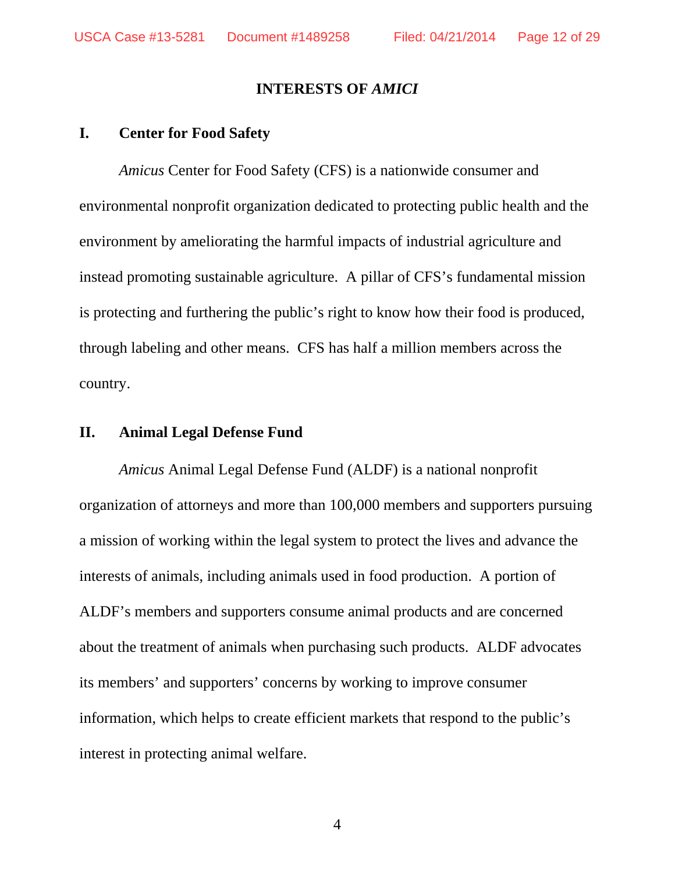#### **INTERESTS OF** *AMICI*

#### **I. Center for Food Safety**

*Amicus* Center for Food Safety (CFS) is a nationwide consumer and environmental nonprofit organization dedicated to protecting public health and the environment by ameliorating the harmful impacts of industrial agriculture and instead promoting sustainable agriculture. A pillar of CFS's fundamental mission is protecting and furthering the public's right to know how their food is produced, through labeling and other means. CFS has half a million members across the country.

### **II. Animal Legal Defense Fund**

*Amicus* Animal Legal Defense Fund (ALDF) is a national nonprofit organization of attorneys and more than 100,000 members and supporters pursuing a mission of working within the legal system to protect the lives and advance the interests of animals, including animals used in food production. A portion of ALDF's members and supporters consume animal products and are concerned about the treatment of animals when purchasing such products. ALDF advocates its members' and supporters' concerns by working to improve consumer information, which helps to create efficient markets that respond to the public's interest in protecting animal welfare.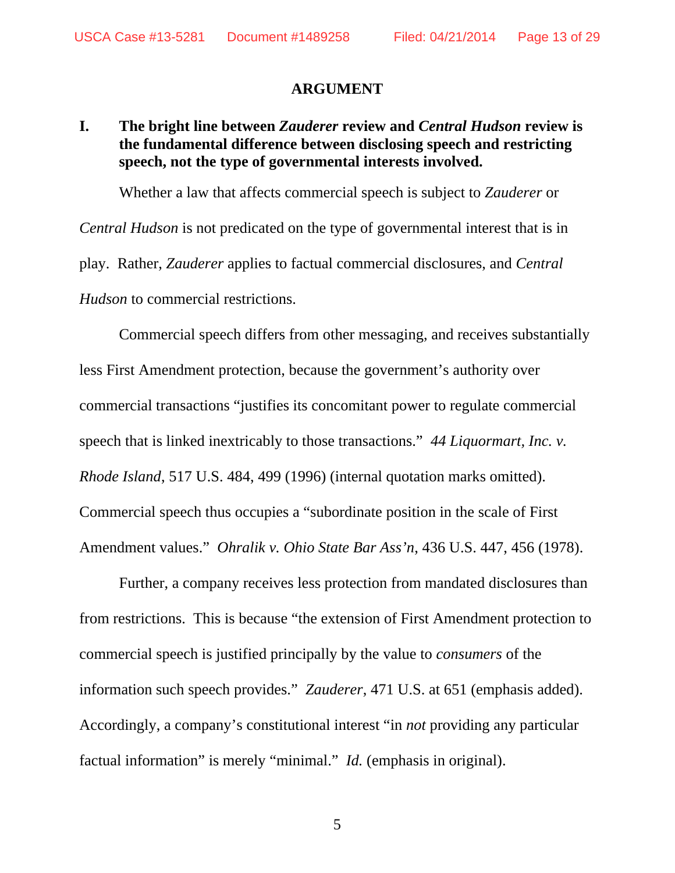#### **ARGUMENT**

### **I. The bright line between** *Zauderer* **review and** *Central Hudson* **review is the fundamental difference between disclosing speech and restricting speech, not the type of governmental interests involved.**

 Whether a law that affects commercial speech is subject to *Zauderer* or *Central Hudson* is not predicated on the type of governmental interest that is in play. Rather, *Zauderer* applies to factual commercial disclosures, and *Central Hudson* to commercial restrictions.

Commercial speech differs from other messaging, and receives substantially less First Amendment protection, because the government's authority over commercial transactions "justifies its concomitant power to regulate commercial speech that is linked inextricably to those transactions." *44 Liquormart, Inc. v. Rhode Island*, 517 U.S. 484, 499 (1996) (internal quotation marks omitted). Commercial speech thus occupies a "subordinate position in the scale of First Amendment values." *Ohralik v. Ohio State Bar Ass'n*, 436 U.S. 447, 456 (1978).

Further, a company receives less protection from mandated disclosures than from restrictions.This is because "the extension of First Amendment protection to commercial speech is justified principally by the value to *consumers* of the information such speech provides." *Zauderer*, 471 U.S. at 651 (emphasis added). Accordingly, a company's constitutional interest "in *not* providing any particular factual information" is merely "minimal." *Id.* (emphasis in original).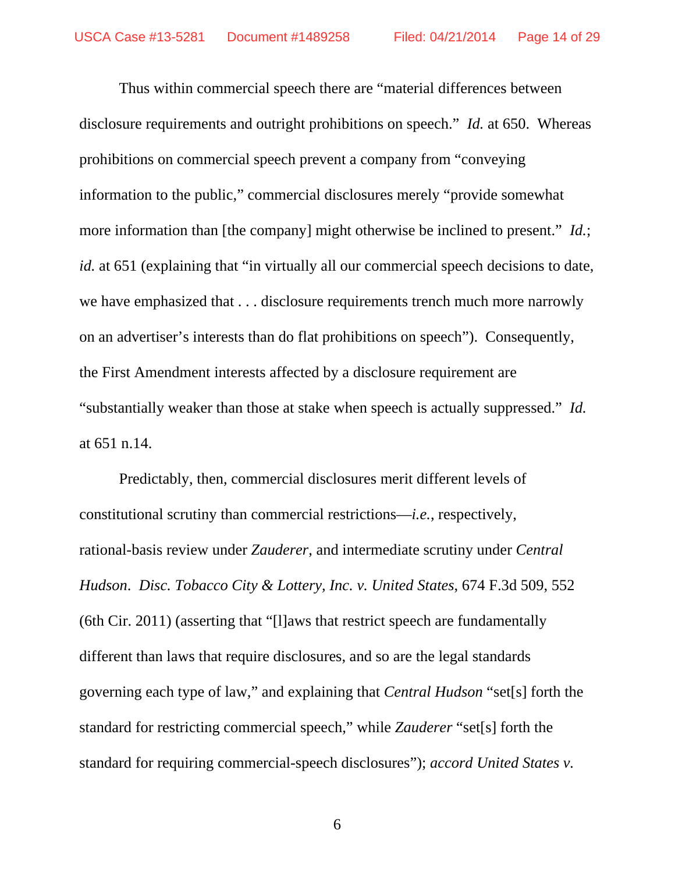Thus within commercial speech there are "material differences between disclosure requirements and outright prohibitions on speech." *Id.* at 650. Whereas prohibitions on commercial speech prevent a company from "conveying information to the public," commercial disclosures merely "provide somewhat more information than [the company] might otherwise be inclined to present." *Id.*; *id.* at 651 (explaining that "in virtually all our commercial speech decisions to date, we have emphasized that . . . disclosure requirements trench much more narrowly on an advertiser's interests than do flat prohibitions on speech"). Consequently, the First Amendment interests affected by a disclosure requirement are "substantially weaker than those at stake when speech is actually suppressed." *Id.*  at 651 n.14.

Predictably, then, commercial disclosures merit different levels of constitutional scrutiny than commercial restrictions—*i.e.*, respectively, rational-basis review under *Zauderer*, and intermediate scrutiny under *Central Hudson*. *Disc. Tobacco City & Lottery, Inc. v. United States*, 674 F.3d 509, 552 (6th Cir. 2011) (asserting that "[l]aws that restrict speech are fundamentally different than laws that require disclosures, and so are the legal standards governing each type of law," and explaining that *Central Hudson* "set[s] forth the standard for restricting commercial speech," while *Zauderer* "set[s] forth the standard for requiring commercial-speech disclosures"); *accord United States v.*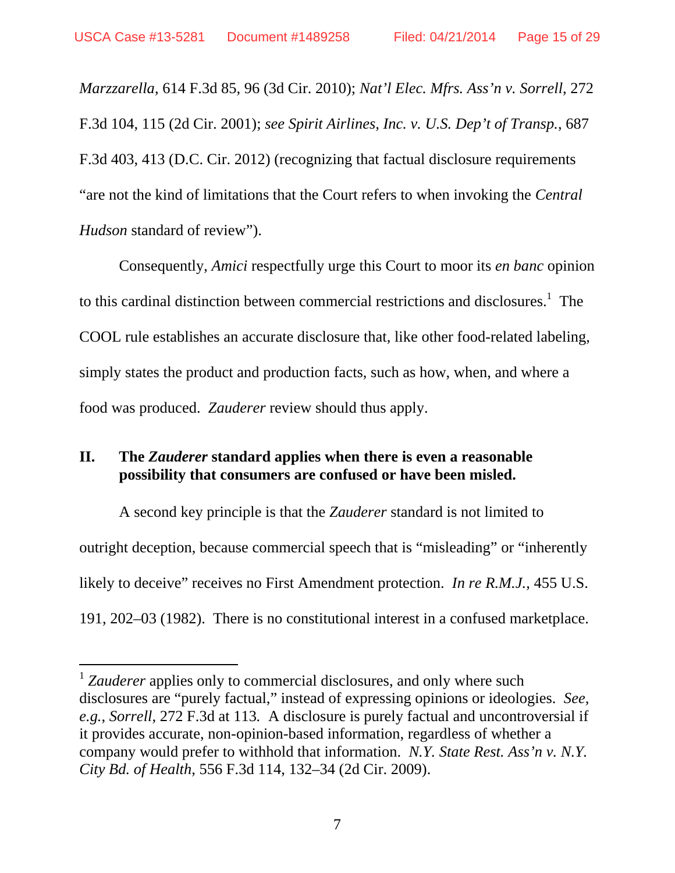$\overline{a}$ 

*Marzzarella*, 614 F.3d 85, 96 (3d Cir. 2010); *Nat'l Elec. Mfrs. Ass'n v. Sorrell*, 272 F.3d 104, 115 (2d Cir. 2001); *see Spirit Airlines, Inc. v. U.S. Dep't of Transp.*, 687 F.3d 403, 413 (D.C. Cir. 2012) (recognizing that factual disclosure requirements "are not the kind of limitations that the Court refers to when invoking the *Central Hudson* standard of review").

Consequently, *Amici* respectfully urge this Court to moor its *en banc* opinion to this cardinal distinction between commercial restrictions and disclosures.<sup>1</sup> The COOL rule establishes an accurate disclosure that, like other food-related labeling, simply states the product and production facts, such as how, when, and where a food was produced. *Zauderer* review should thus apply.

### **II. The** *Zauderer* **standard applies when there is even a reasonable possibility that consumers are confused or have been misled.**

A second key principle is that the *Zauderer* standard is not limited to outright deception, because commercial speech that is "misleading" or "inherently likely to deceive" receives no First Amendment protection. *In re R.M.J.*, 455 U.S. 191, 202–03 (1982). There is no constitutional interest in a confused marketplace.

<sup>&</sup>lt;sup>1</sup> Zauderer applies only to commercial disclosures, and only where such disclosures are "purely factual," instead of expressing opinions or ideologies. *See, e.g.*, *Sorrell*, 272 F.3d at 113*.* A disclosure is purely factual and uncontroversial if it provides accurate, non-opinion-based information, regardless of whether a company would prefer to withhold that information. *N.Y. State Rest. Ass'n v. N.Y. City Bd. of Health*, 556 F.3d 114, 132–34 (2d Cir. 2009).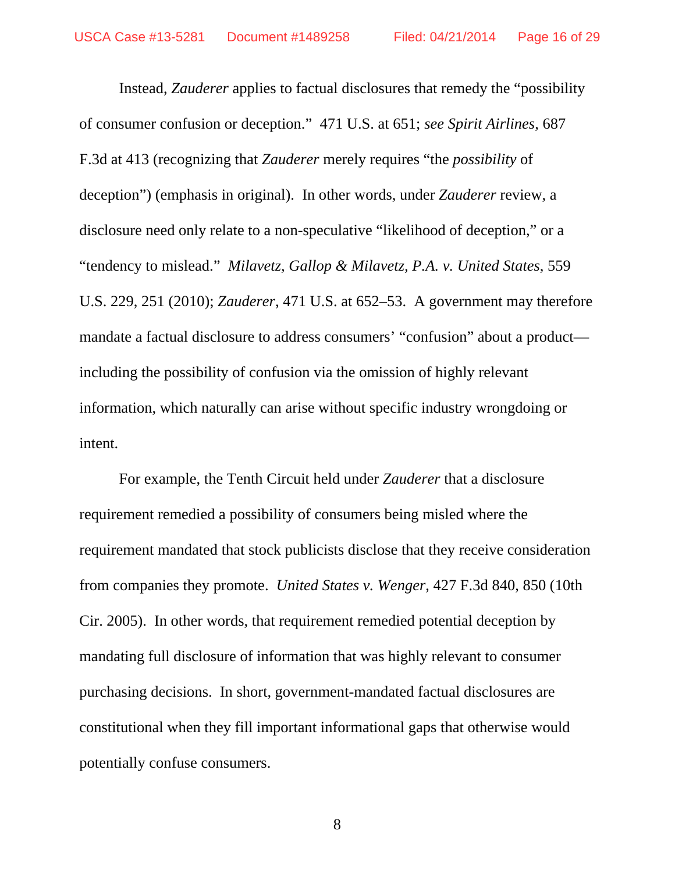Instead, *Zauderer* applies to factual disclosures that remedy the "possibility of consumer confusion or deception." 471 U.S. at 651; *see Spirit Airlines*, 687 F.3d at 413 (recognizing that *Zauderer* merely requires "the *possibility* of deception") (emphasis in original). In other words, under *Zauderer* review, a disclosure need only relate to a non-speculative "likelihood of deception," or a "tendency to mislead." *Milavetz, Gallop & Milavetz, P.A. v. United States*, 559 U.S. 229, 251 (2010); *Zauderer*, 471 U.S. at 652–53. A government may therefore mandate a factual disclosure to address consumers' "confusion" about a product including the possibility of confusion via the omission of highly relevant information, which naturally can arise without specific industry wrongdoing or intent.

For example, the Tenth Circuit held under *Zauderer* that a disclosure requirement remedied a possibility of consumers being misled where the requirement mandated that stock publicists disclose that they receive consideration from companies they promote. *United States v. Wenger*, 427 F.3d 840, 850 (10th Cir. 2005). In other words, that requirement remedied potential deception by mandating full disclosure of information that was highly relevant to consumer purchasing decisions. In short, government-mandated factual disclosures are constitutional when they fill important informational gaps that otherwise would potentially confuse consumers.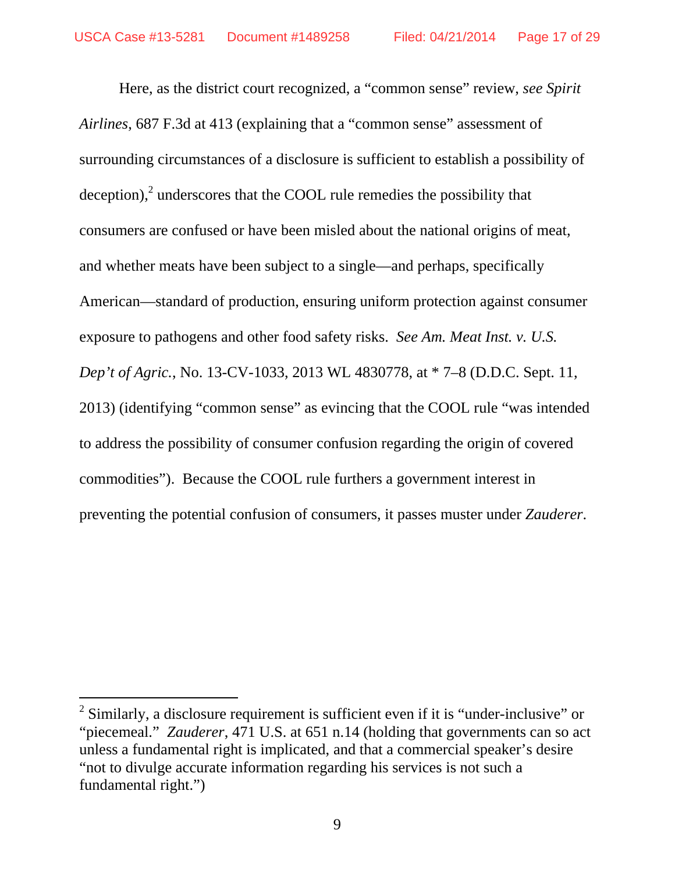Here, as the district court recognized, a "common sense" review, *see Spirit Airlines*, 687 F.3d at 413 (explaining that a "common sense" assessment of surrounding circumstances of a disclosure is sufficient to establish a possibility of deception), $<sup>2</sup>$  underscores that the COOL rule remedies the possibility that</sup> consumers are confused or have been misled about the national origins of meat, and whether meats have been subject to a single—and perhaps, specifically American—standard of production, ensuring uniform protection against consumer exposure to pathogens and other food safety risks. *See Am. Meat Inst. v. U.S. Dep't of Agric.*, No. 13-CV-1033, 2013 WL 4830778, at \* 7–8 (D.D.C. Sept. 11, 2013) (identifying "common sense" as evincing that the COOL rule "was intended to address the possibility of consumer confusion regarding the origin of covered commodities"). Because the COOL rule furthers a government interest in preventing the potential confusion of consumers, it passes muster under *Zauderer*.

 $\overline{a}$ 

 $2$  Similarly, a disclosure requirement is sufficient even if it is "under-inclusive" or "piecemeal." *Zauderer*, 471 U.S. at 651 n.14 (holding that governments can so act unless a fundamental right is implicated, and that a commercial speaker's desire "not to divulge accurate information regarding his services is not such a fundamental right.")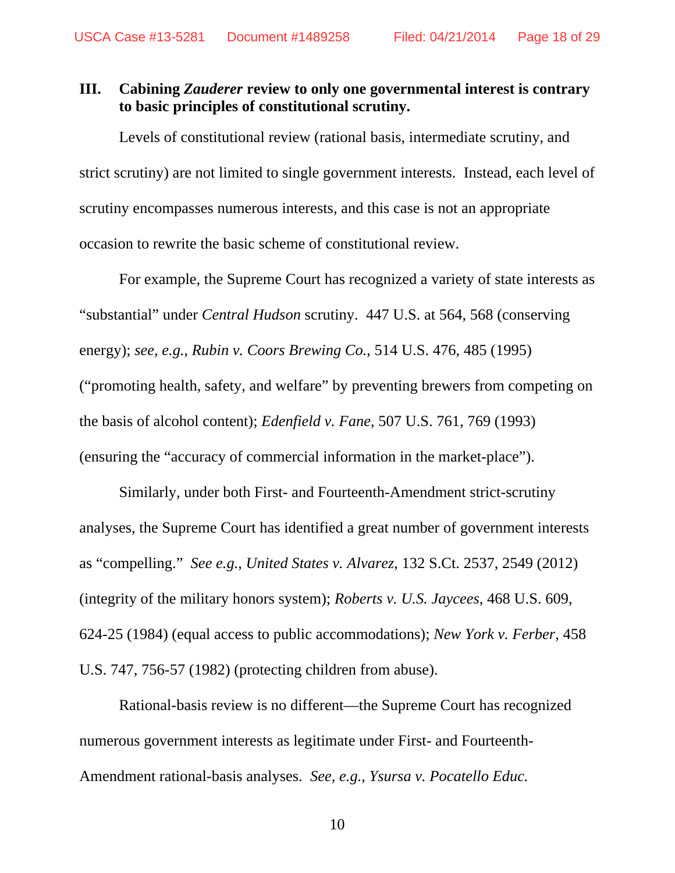### **III. Cabining** *Zauderer* **review to only one governmental interest is contrary to basic principles of constitutional scrutiny.**

 Levels of constitutional review (rational basis, intermediate scrutiny, and strict scrutiny) are not limited to single government interests. Instead, each level of scrutiny encompasses numerous interests, and this case is not an appropriate occasion to rewrite the basic scheme of constitutional review.

 For example, the Supreme Court has recognized a variety of state interests as "substantial" under *Central Hudson* scrutiny. 447 U.S. at 564, 568 (conserving energy); *see, e.g.*, *Rubin v. Coors Brewing Co.*, 514 U.S. 476, 485 (1995) ("promoting health, safety, and welfare" by preventing brewers from competing on the basis of alcohol content); *Edenfield v. Fane*, 507 U.S. 761, 769 (1993) (ensuring the "accuracy of commercial information in the market-place").

 Similarly, under both First- and Fourteenth-Amendment strict-scrutiny analyses, the Supreme Court has identified a great number of government interests as "compelling." *See e.g.*, *United States v. Alvarez*, 132 S.Ct. 2537, 2549 (2012) (integrity of the military honors system); *Roberts v. U.S. Jaycees*, 468 U.S. 609, 624-25 (1984) (equal access to public accommodations); *New York v. Ferber*, 458 U.S. 747, 756-57 (1982) (protecting children from abuse).

 Rational-basis review is no different—the Supreme Court has recognized numerous government interests as legitimate under First- and Fourteenth-Amendment rational-basis analyses. *See, e.g.*, *Ysursa v. Pocatello Educ.*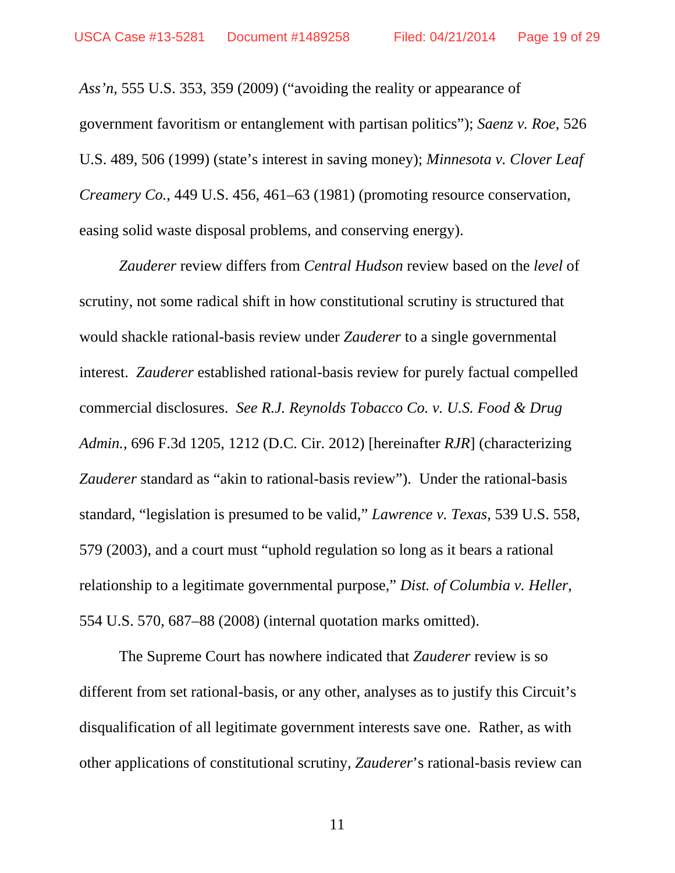*Ass'n*, 555 U.S. 353, 359 (2009) ("avoiding the reality or appearance of government favoritism or entanglement with partisan politics"); *Saenz v. Roe*, 526 U.S. 489, 506 (1999) (state's interest in saving money); *Minnesota v. Clover Leaf Creamery Co.*, 449 U.S. 456, 461–63 (1981) (promoting resource conservation, easing solid waste disposal problems, and conserving energy).

*Zauderer* review differs from *Central Hudson* review based on the *level* of scrutiny, not some radical shift in how constitutional scrutiny is structured that would shackle rational-basis review under *Zauderer* to a single governmental interest. *Zauderer* established rational-basis review for purely factual compelled commercial disclosures. *See R.J. Reynolds Tobacco Co. v. U.S. Food & Drug Admin.,* 696 F.3d 1205, 1212 (D.C. Cir. 2012) [hereinafter *RJR*] (characterizing *Zauderer* standard as "akin to rational-basis review"). Under the rational-basis standard, "legislation is presumed to be valid," *Lawrence v. Texas*, 539 U.S. 558, 579 (2003), and a court must "uphold regulation so long as it bears a rational relationship to a legitimate governmental purpose," *Dist. of Columbia v. Heller*, 554 U.S. 570, 687–88 (2008) (internal quotation marks omitted).

 The Supreme Court has nowhere indicated that *Zauderer* review is so different from set rational-basis, or any other, analyses as to justify this Circuit's disqualification of all legitimate government interests save one. Rather, as with other applications of constitutional scrutiny, *Zauderer*'s rational-basis review can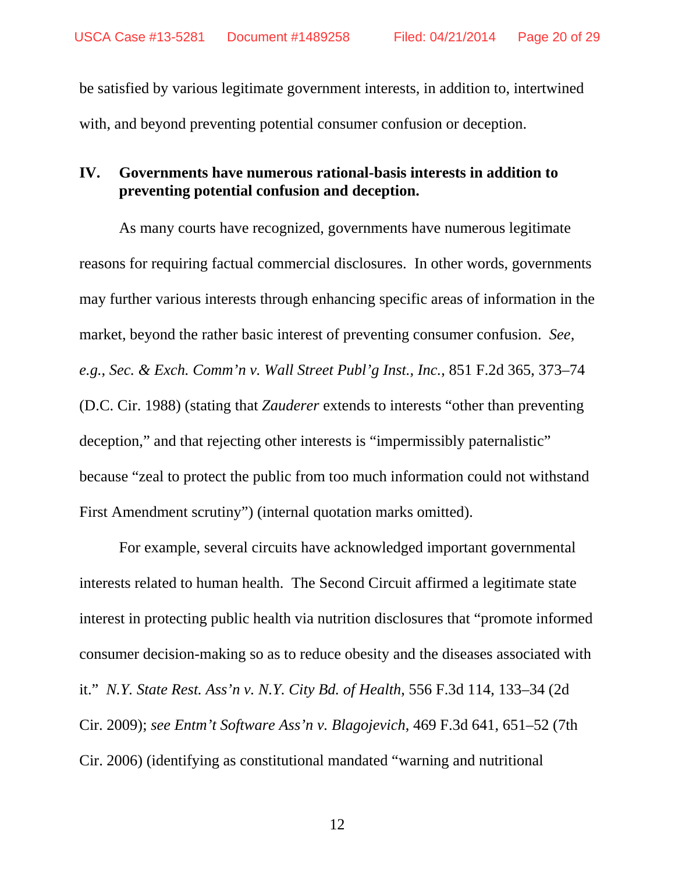be satisfied by various legitimate government interests, in addition to, intertwined with, and beyond preventing potential consumer confusion or deception.

### **IV. Governments have numerous rational-basis interests in addition to preventing potential confusion and deception.**

 As many courts have recognized, governments have numerous legitimate reasons for requiring factual commercial disclosures. In other words, governments may further various interests through enhancing specific areas of information in the market, beyond the rather basic interest of preventing consumer confusion. *See, e.g.*, *Sec. & Exch. Comm'n v. Wall Street Publ'g Inst., Inc.*, 851 F.2d 365, 373–74 (D.C. Cir. 1988) (stating that *Zauderer* extends to interests "other than preventing deception," and that rejecting other interests is "impermissibly paternalistic" because "zeal to protect the public from too much information could not withstand First Amendment scrutiny") (internal quotation marks omitted).

For example, several circuits have acknowledged important governmental interests related to human health. The Second Circuit affirmed a legitimate state interest in protecting public health via nutrition disclosures that "promote informed consumer decision-making so as to reduce obesity and the diseases associated with it." *N.Y. State Rest. Ass'n v. N.Y. City Bd. of Health*, 556 F.3d 114, 133–34 (2d Cir. 2009); *see Entm't Software Ass'n v. Blagojevich*, 469 F.3d 641, 651–52 (7th Cir. 2006) (identifying as constitutional mandated "warning and nutritional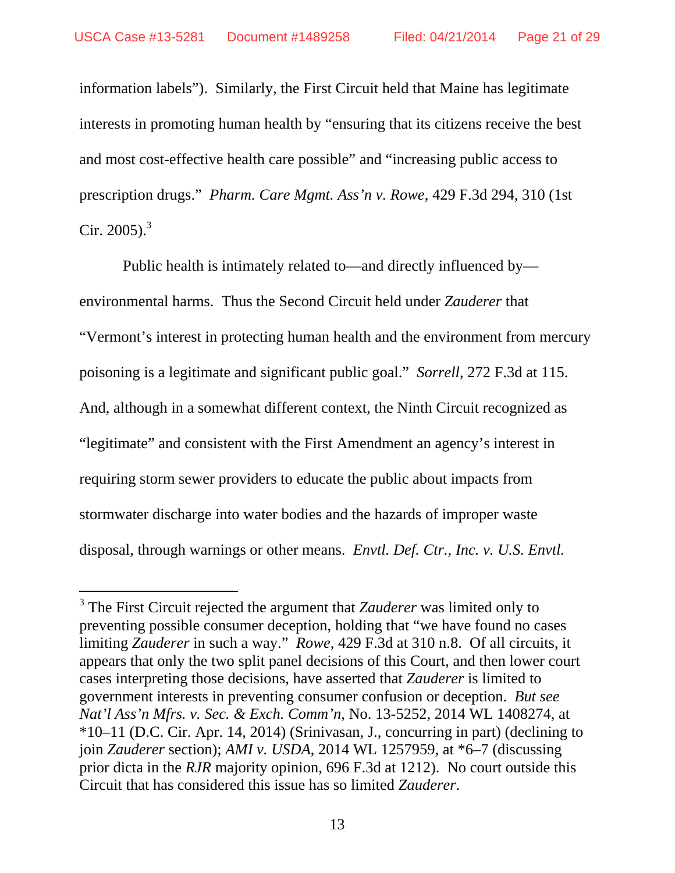-

information labels"). Similarly, the First Circuit held that Maine has legitimate interests in promoting human health by "ensuring that its citizens receive the best and most cost-effective health care possible" and "increasing public access to prescription drugs." *Pharm. Care Mgmt. Ass'n v. Rowe*, 429 F.3d 294, 310 (1st Cir. 2005). $3$ 

 Public health is intimately related to—and directly influenced by environmental harms. Thus the Second Circuit held under *Zauderer* that "Vermont's interest in protecting human health and the environment from mercury poisoning is a legitimate and significant public goal." *Sorrell*, 272 F.3d at 115. And, although in a somewhat different context, the Ninth Circuit recognized as "legitimate" and consistent with the First Amendment an agency's interest in requiring storm sewer providers to educate the public about impacts from stormwater discharge into water bodies and the hazards of improper waste disposal, through warnings or other means. *Envtl. Def. Ctr., Inc. v. U.S. Envtl.* 

<sup>3</sup> The First Circuit rejected the argument that *Zauderer* was limited only to preventing possible consumer deception, holding that "we have found no cases limiting *Zauderer* in such a way." *Rowe*, 429 F.3d at 310 n.8. Of all circuits, it appears that only the two split panel decisions of this Court, and then lower court cases interpreting those decisions, have asserted that *Zauderer* is limited to government interests in preventing consumer confusion or deception. *But see Nat'l Ass'n Mfrs. v. Sec. & Exch. Comm'n*, No. 13-5252, 2014 WL 1408274, at \*10–11 (D.C. Cir. Apr. 14, 2014) (Srinivasan, J., concurring in part) (declining to join *Zauderer* section); *AMI v. USDA*, 2014 WL 1257959, at \*6–7 (discussing prior dicta in the *RJR* majority opinion, 696 F.3d at 1212). No court outside this Circuit that has considered this issue has so limited *Zauderer*.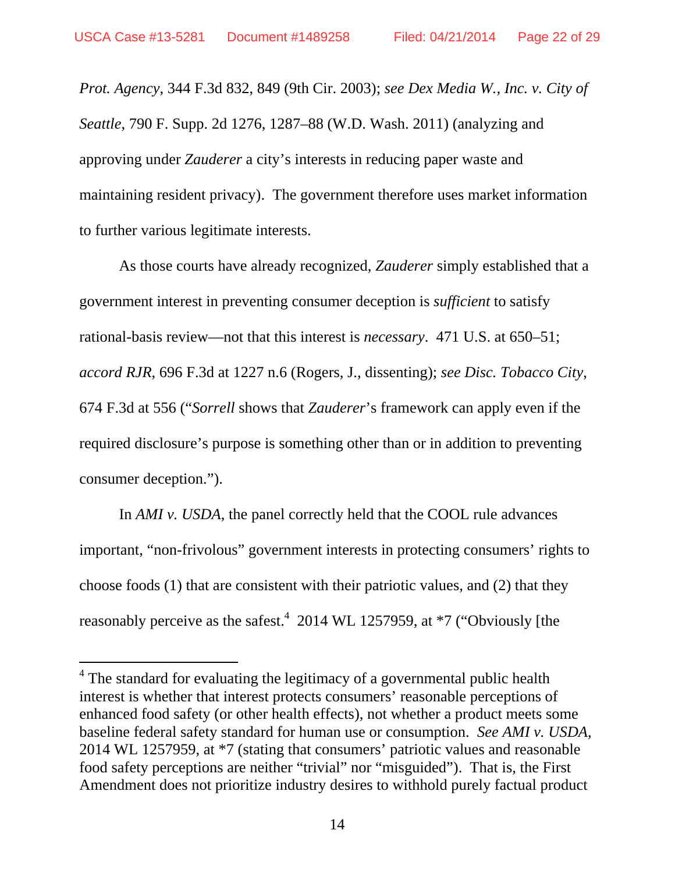-

*Prot. Agency*, 344 F.3d 832, 849 (9th Cir. 2003); *see Dex Media W., Inc. v. City of Seattle*, 790 F. Supp. 2d 1276, 1287–88 (W.D. Wash. 2011) (analyzing and approving under *Zauderer* a city's interests in reducing paper waste and maintaining resident privacy). The government therefore uses market information to further various legitimate interests.

As those courts have already recognized, *Zauderer* simply established that a government interest in preventing consumer deception is *sufficient* to satisfy rational-basis review—not that this interest is *necessary*. 471 U.S. at 650–51; *accord RJR*, 696 F.3d at 1227 n.6 (Rogers, J., dissenting); *see Disc. Tobacco City*, 674 F.3d at 556 ("*Sorrell* shows that *Zauderer*'s framework can apply even if the required disclosure's purpose is something other than or in addition to preventing consumer deception.").

In *AMI v. USDA*, the panel correctly held that the COOL rule advances important, "non-frivolous" government interests in protecting consumers' rights to choose foods (1) that are consistent with their patriotic values, and (2) that they reasonably perceive as the safest.<sup>4</sup> 2014 WL 1257959, at  $*7$  ("Obviously [the

<sup>&</sup>lt;sup>4</sup> The standard for evaluating the legitimacy of a governmental public health interest is whether that interest protects consumers' reasonable perceptions of enhanced food safety (or other health effects), not whether a product meets some baseline federal safety standard for human use or consumption. *See AMI v. USDA*, 2014 WL 1257959, at \*7 (stating that consumers' patriotic values and reasonable food safety perceptions are neither "trivial" nor "misguided"). That is, the First Amendment does not prioritize industry desires to withhold purely factual product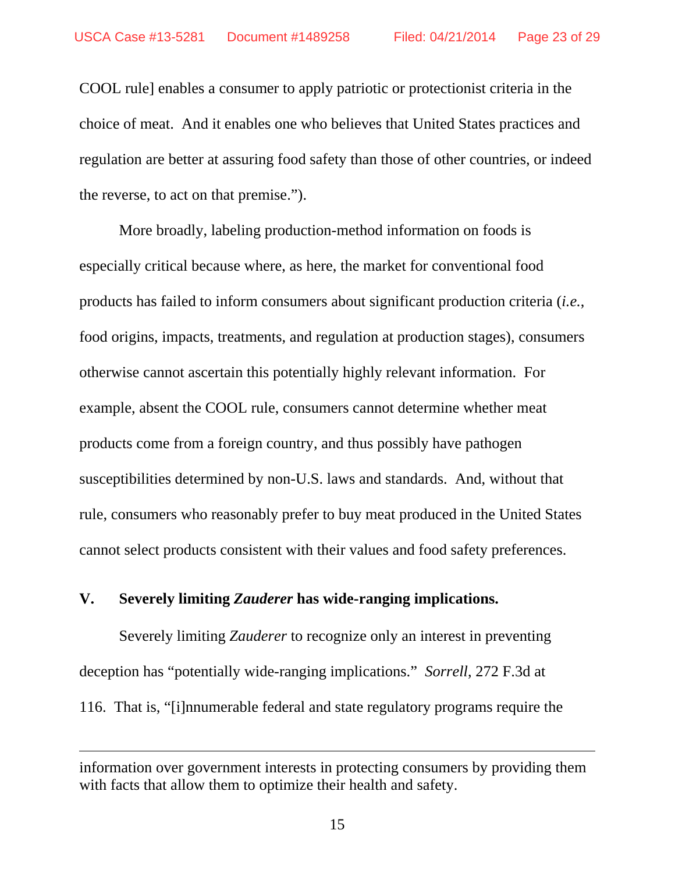COOL rule] enables a consumer to apply patriotic or protectionist criteria in the choice of meat. And it enables one who believes that United States practices and regulation are better at assuring food safety than those of other countries, or indeed the reverse, to act on that premise.").

 More broadly, labeling production-method information on foods is especially critical because where, as here, the market for conventional food products has failed to inform consumers about significant production criteria (*i.e.*, food origins, impacts, treatments, and regulation at production stages), consumers otherwise cannot ascertain this potentially highly relevant information. For example, absent the COOL rule, consumers cannot determine whether meat products come from a foreign country, and thus possibly have pathogen susceptibilities determined by non-U.S. laws and standards. And, without that rule, consumers who reasonably prefer to buy meat produced in the United States cannot select products consistent with their values and food safety preferences.

#### **V. Severely limiting** *Zauderer* **has wide-ranging implications.**

-

 Severely limiting *Zauderer* to recognize only an interest in preventing deception has "potentially wide-ranging implications." *Sorrell*, 272 F.3d at 116. That is, "[i]nnumerable federal and state regulatory programs require the

information over government interests in protecting consumers by providing them with facts that allow them to optimize their health and safety.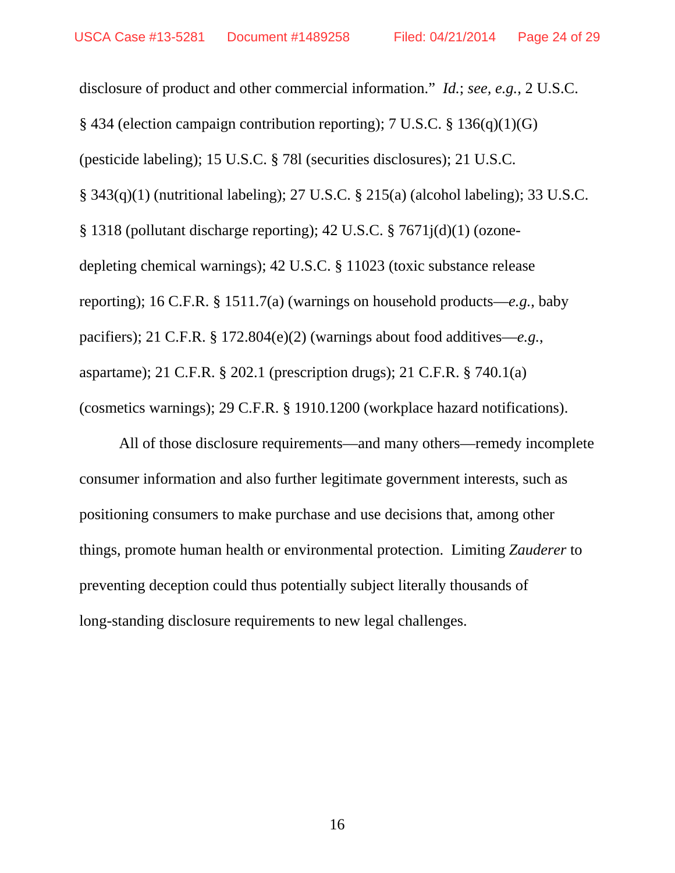disclosure of product and other commercial information." *Id.*; *see, e.g.*, 2 U.S.C. § 434 (election campaign contribution reporting); 7 U.S.C. § 136(q)(1)(G) (pesticide labeling); 15 U.S.C. § 78l (securities disclosures); 21 U.S.C. § 343(q)(1) (nutritional labeling); 27 U.S.C. § 215(a) (alcohol labeling); 33 U.S.C. § 1318 (pollutant discharge reporting); 42 U.S.C. § 7671j(d)(1) (ozonedepleting chemical warnings); 42 U.S.C. § 11023 (toxic substance release reporting); 16 C.F.R. § 1511.7(a) (warnings on household products—*e.g.*, baby pacifiers); 21 C.F.R. § 172.804(e)(2) (warnings about food additives—*e.g.*, aspartame); 21 C.F.R. § 202.1 (prescription drugs); 21 C.F.R. § 740.1(a) (cosmetics warnings); 29 C.F.R. § 1910.1200 (workplace hazard notifications).

All of those disclosure requirements—and many others—remedy incomplete consumer information and also further legitimate government interests, such as positioning consumers to make purchase and use decisions that, among other things, promote human health or environmental protection. Limiting *Zauderer* to preventing deception could thus potentially subject literally thousands of long-standing disclosure requirements to new legal challenges.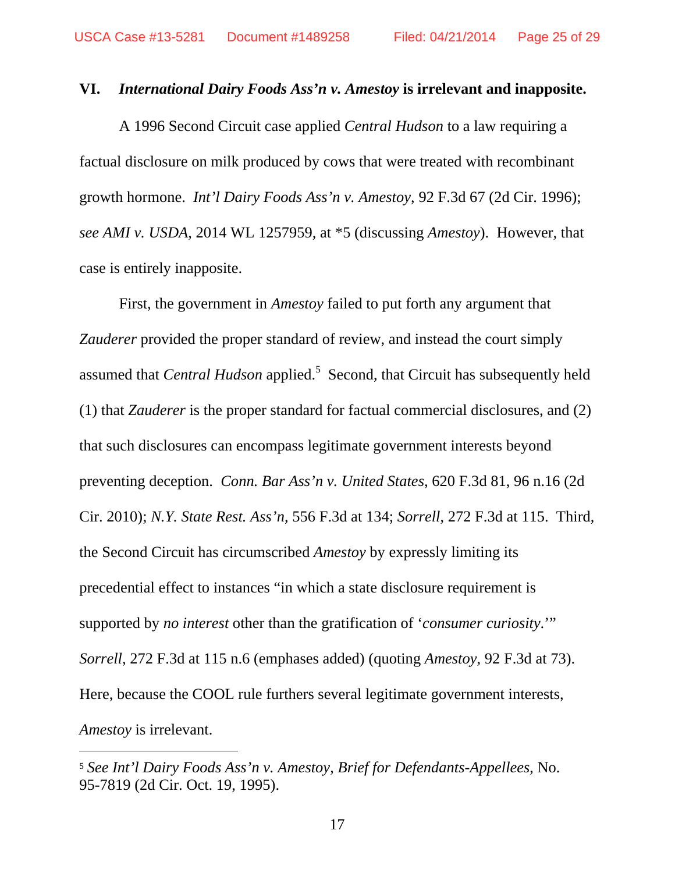#### **VI.** *International Dairy Foods Ass'n v. Amestoy* **is irrelevant and inapposite.**

A 1996 Second Circuit case applied *Central Hudson* to a law requiring a factual disclosure on milk produced by cows that were treated with recombinant growth hormone. *Int'l Dairy Foods Ass'n v. Amestoy*, 92 F.3d 67 (2d Cir. 1996); *see AMI v. USDA*, 2014 WL 1257959, at \*5 (discussing *Amestoy*). However, that case is entirely inapposite.

First, the government in *Amestoy* failed to put forth any argument that *Zauderer* provided the proper standard of review, and instead the court simply assumed that *Central Hudson* applied.<sup>5</sup> Second, that Circuit has subsequently held (1) that *Zauderer* is the proper standard for factual commercial disclosures, and (2) that such disclosures can encompass legitimate government interests beyond preventing deception. *Conn. Bar Ass'n v. United States*, 620 F.3d 81, 96 n.16 (2d Cir. 2010); *N.Y. State Rest. Ass'n*, 556 F.3d at 134; *Sorrell*, 272 F.3d at 115. Third, the Second Circuit has circumscribed *Amestoy* by expressly limiting its precedential effect to instances "in which a state disclosure requirement is supported by *no interest* other than the gratification of '*consumer curiosity*.'" *Sorrell*, 272 F.3d at 115 n.6 (emphases added) (quoting *Amestoy*, 92 F.3d at 73). Here, because the COOL rule furthers several legitimate government interests, *Amestoy* is irrelevant.

 $\overline{a}$ 

<sup>5</sup> *See Int'l Dairy Foods Ass'n v. Amestoy*, *Brief for Defendants-Appellees*, No. 95-7819 (2d Cir. Oct. 19, 1995).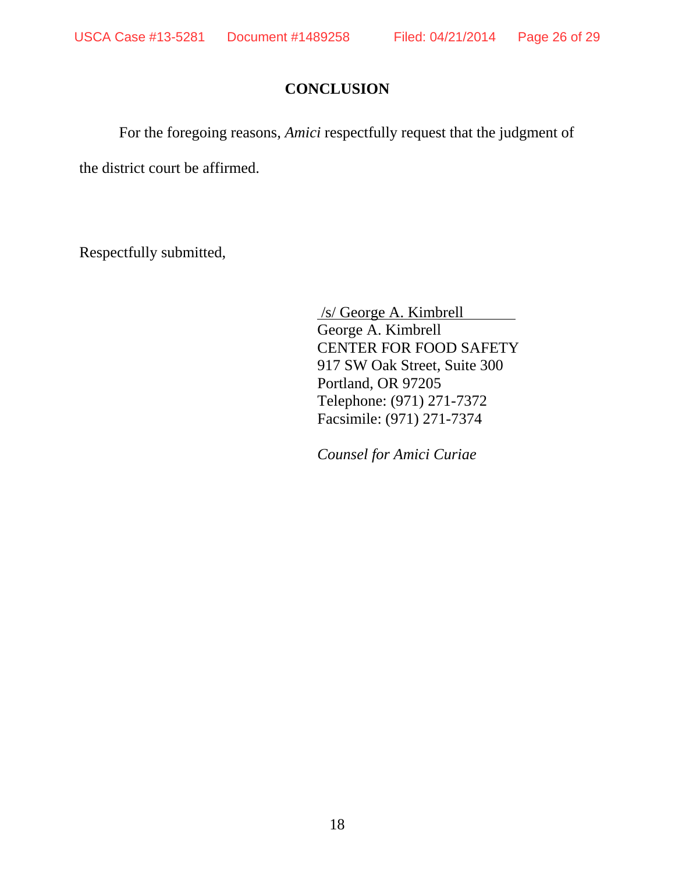## **CONCLUSION**

For the foregoing reasons, *Amici* respectfully request that the judgment of

the district court be affirmed.

Respectfully submitted,

 /s/ George A. Kimbrell George A. Kimbrell CENTER FOR FOOD SAFETY 917 SW Oak Street, Suite 300 Portland, OR 97205 Telephone: (971) 271-7372 Facsimile: (971) 271-7374

*Counsel for Amici Curiae*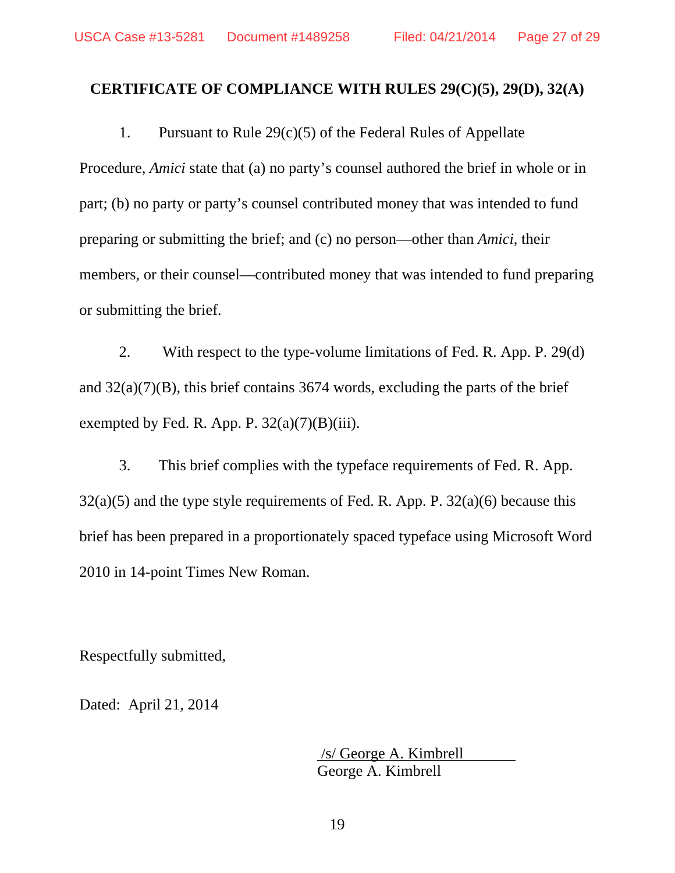### **CERTIFICATE OF COMPLIANCE WITH RULES 29(C)(5), 29(D), 32(A)**

1. Pursuant to Rule 29(c)(5) of the Federal Rules of Appellate Procedure, *Amici* state that (a) no party's counsel authored the brief in whole or in part; (b) no party or party's counsel contributed money that was intended to fund preparing or submitting the brief; and (c) no person—other than *Amici*, their members, or their counsel—contributed money that was intended to fund preparing or submitting the brief.

2. With respect to the type-volume limitations of Fed. R. App. P. 29(d) and  $32(a)(7)(B)$ , this brief contains 3674 words, excluding the parts of the brief exempted by Fed. R. App. P.  $32(a)(7)(B)(iii)$ .

3. This brief complies with the typeface requirements of Fed. R. App.  $32(a)(5)$  and the type style requirements of Fed. R. App. P.  $32(a)(6)$  because this brief has been prepared in a proportionately spaced typeface using Microsoft Word 2010 in 14-point Times New Roman.

Respectfully submitted,

Dated: April 21, 2014

 /s/ George A. Kimbrell George A. Kimbrell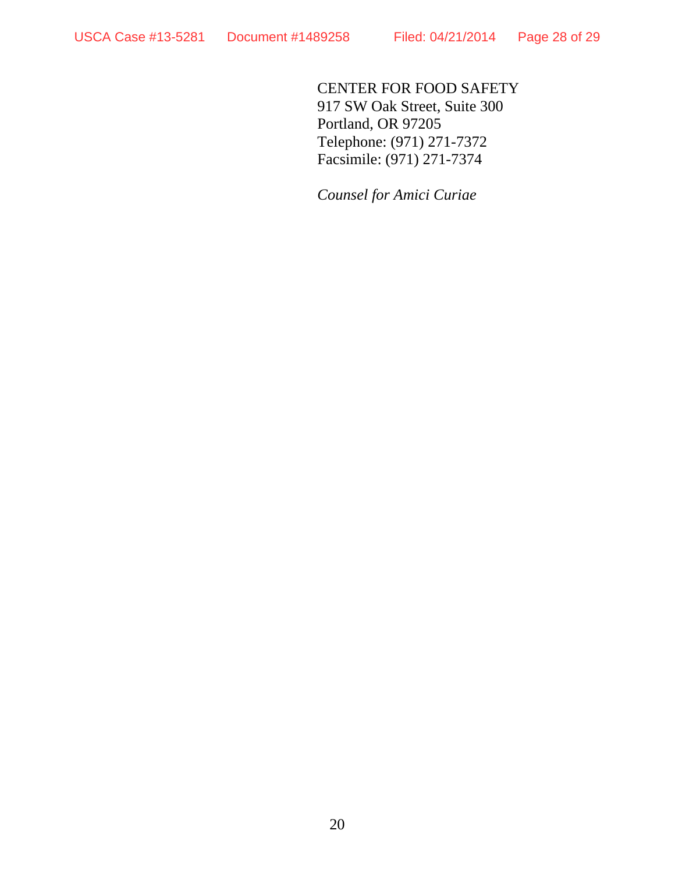CENTER FOR FOOD SAFETY 917 SW Oak Street, Suite 300 Portland, OR 97205 Telephone: (971) 271-7372 Facsimile: (971) 271-7374

*Counsel for Amici Curiae*